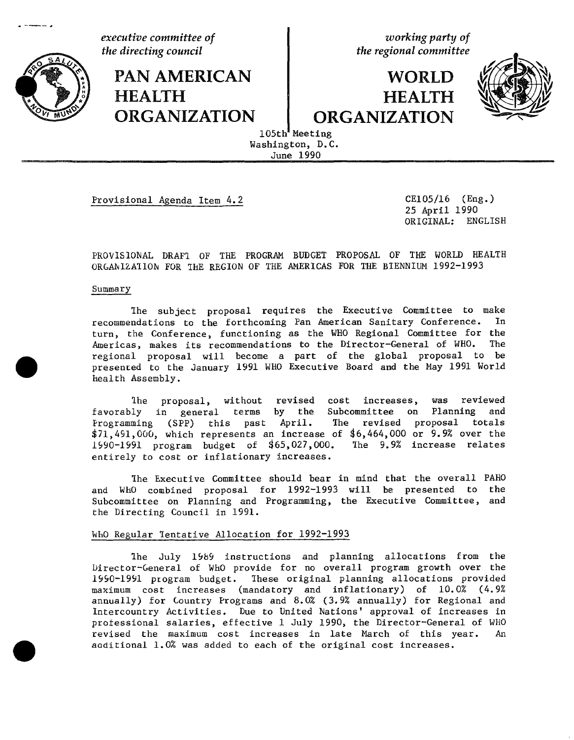**HEALTH** 

**PAN AMERICAN** 

**executive** committee of **of the directing council committee of contains contains** *contains the regional committee* 

# **WORLD HEALTH**  $ORGANIZATION$  **theorem panel organization**



105th Meeting Washington, D.C. June 1990

Provisional Agenda Item 4.2 CE105**/**16 (Eng.)

25 April 1990 ORIGINAL: ENGLISH

i ir

PROVISIONAL DRAF2 OF THE PROGRAM BUDGET PROPOSAL OF THE WORLD HEALTH ORGANIZATION FOR THE REGION OF THE AMERICAS FOR THE BIENNIUM 1992-1993

#### Summary

The subject proposal requires the Executive Committee to make<br>ndations to the forthcoming Pan American Sanitary Conference. In recommendations to the forthcoming Pan American Sanitary Conference. turn, the Conference, functioning as the WHO Regional Committee for the<br>Americas, makes its recommendations to the Director-General of WHO. The Americas, makes its recommendations to the Director-General of WHO. regional proposal will become a part of the global proposal to be presented to the January 1991 WHO Executive Board and the May 1991 World health Assembly.

The proposal, without revised cost increases, was reviewed<br>ly in general terms by the Subcommittee on Planning and favorably in general terms by the Subcommittee on Planning Programming (SPP) this past April. The revised proposal totals  $$71,491,000$ , which represents an increase of  $$6,464,000$  or 9.9% over the 1990-1991 program budget of  $$65,027,000$ . The 9.9% increase relates 1990-1991 program budget of \$65,027,000. entirely to cost or inflationary increases.

The Executive Committee should bear in mind that the overall PAHO and WhO combined proposal for 1992-1993 will be presented to the Subcommittee on Planning and Programming, the Executive Committee, and the Directing Council in 1991.

## WhO Regular Tentative Allocation for 1992-1993

The July 1989 instructions and planning allocations from the Director-General of WhO provide for no overall program growth over the 1990-1991 program budget. These original planning allocations provided maximum cost increases (mandatory and inflationary) of 10.0% (4.9% annually) for Lountry Programs and 8.0% (3.**9**% annually) for Regional and Intercountry Activities. Due to United Nations' approval of increases in professional salaries, effective 1 July 1990, the Director-General of WHO<br>revised the maximum cost increases in late March of this year. An revised the maximum cost increases in late March of this year. aqditional 1.0% was added to each of the original cost increases.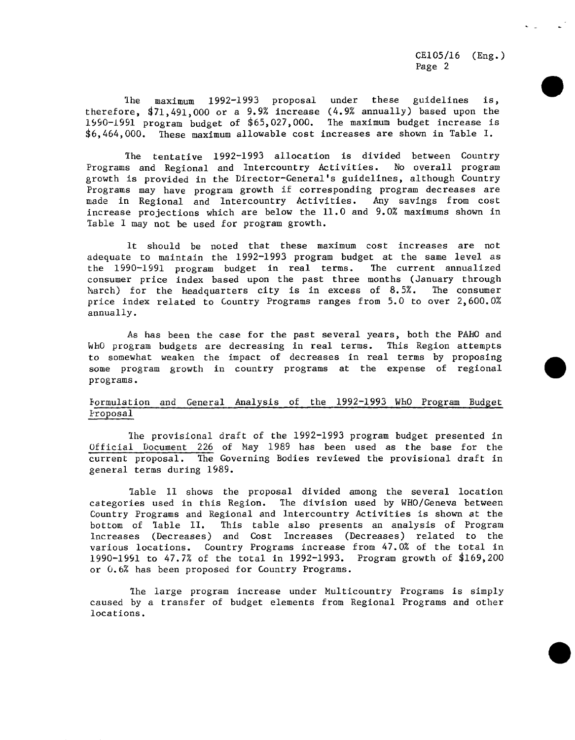CE105**/**16 (Eng.) Page 2

The maximum 1992-1993 proposal under these guidelines is, therefore,  $\frac{471}{491}$ ,000 or a 9.9% increase (4.9% annually) based upon the 1990-1991 program budget of \_65,027,000. \_he maximum budget increase is \_6,464,000. Ihese maximum allowable cost increases are shown in Table I.

The tentative 1992-1993 allocation is divided between Country Programs and Regional and Intercountry Activities. No overall program growth is provided in the Director-General's guidelines, although Country Programs may have program growth if corresponding program decreases are made in Regional and Intercountry Activities. Any savings from cost increase projections which are below the 11.0 and 9.0% maximums shown in Table I may not be used for program growth.

It should be noted that these maximum cost increases are not adequate to maintain the 1992-1993 program budget at the same level as<br>the 1990-1991 program budget in real terms. The current annualized the 1990-1991 program budget in real terms. consumer price index based upon the past three months (January through<br>March) for the headquarters city is in excess of 8.5%. The consumer March) for the headquarters city is in excess of  $8.5%$ . price index related to Country Programs ranges from 5.0 to over 2,600.0% annually.

As has been the case for the past several years, both the PAHO and WhO program budgets are decreasing in real terms. This Region attempts to somewhat weaken the impact of decreases in real terms by proposing some program growth in country programs at the expense of regional programs.

## Formulation and General Analysis of the 1992-1993 WhO Program Budget Proposal

Ihe provisional draft of the 1992-1993 program budget presented in Official Document 226 of May 1989 has been used as the base for the current proposal. The Governing Bodies reviewed the provisional draft in general terms during 1989.

Table II shows the proposal divided among the several location categories used in this Region. The division used by WHO**/**Geneva between Country Programs and Regional and Intercountry Activities is shown at the bottom of Table II. This table also presents an analysis of Program This table also presents an analysis of Program Increases (Decreases) and Cost Increases (Decreases) related to the various locations. Co**u**ntry Programs increase from 47.0% of the total in 1990-1991 to 47.7% of the total in 1992-i993. Program growth of \_169,200 or 0.6% has been proposed for 6ountry Programs.

The large program increase under Multicountry Programs is simply caused by a transfer of budget elements from Regional Programs and other locations.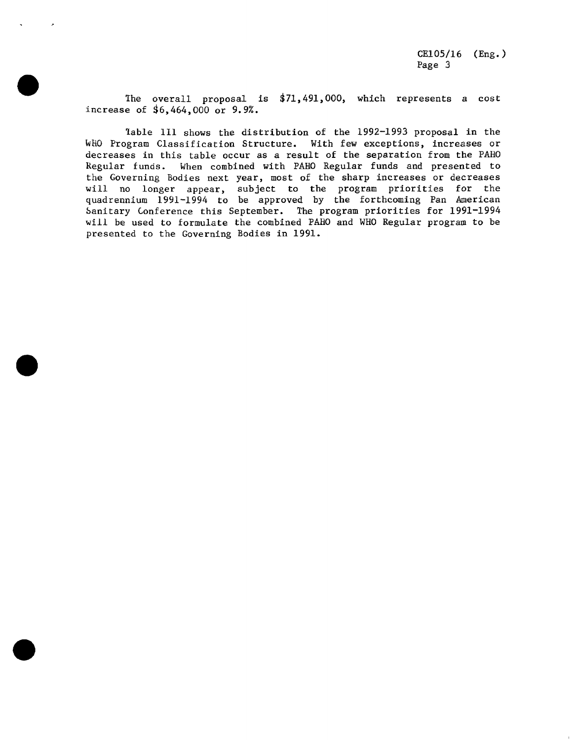The overall proposal is  $$71,491,000$ , which represents a cost increase of 36,464,000 or 9.9%.

Table II1 shows the distribution of the 1992-1993 proposal in the WHO Program Classification Structure. With few exceptions, increases or decreases in this table occur as a result of the separation from the PAHO Regular funds. When combined with PAHO Regular funds and presented to the Governing Bodies next year, most of the sharp increases or decreases will no longer appear, subject to the program priorities for the quadrennium 1991-1994 to be approved by the forthcoming Pan American Sanitary Lonference this September. The program priorities for 1991-1994 will be used to formulate the combined PAHO and WHO Regular program to be presented to the Governing Bodies in 1991.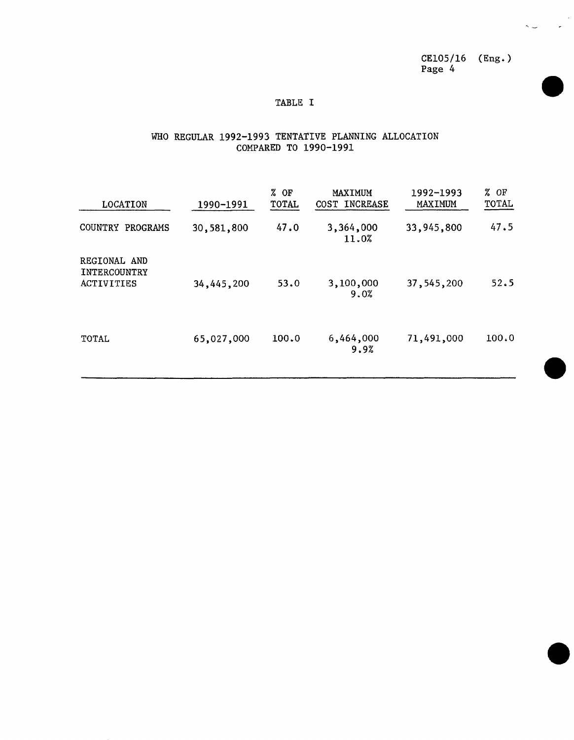CE105**/**16 (Eng.) Page 4

 $\sim$ 

 $\lambda$ 

## TABLE I

## WHO REGULAR 1992-1993 TENTATIVE PLANNING ALLOCATION COMPARED TO 1990-1991

| LOCATION                                                 | 1990-1991  | $%$ OF<br>TOTAL | MAXIMUM<br>COST INCREASE | 1992-1993<br><b>MAXIMUM</b> | $%$ OF<br>TOTAL |  |
|----------------------------------------------------------|------------|-----------------|--------------------------|-----------------------------|-----------------|--|
| <b>COUNTRY</b><br>PROGRAMS                               | 30,581,800 | 47.0            | 3,364,000<br>11.0%       | 33,945,800                  | 47.5            |  |
| REGIONAL AND<br><b>INTERCOUNTRY</b><br><b>ACTIVITIES</b> | 34,445,200 | 53.0            | 3,100,000<br>9.0%        | 37,545,200                  | 52.5            |  |
| TOTAL                                                    | 65,027,000 | 100.0           | 6,464,000<br>9.9%        | 71,491,000                  | 100.0           |  |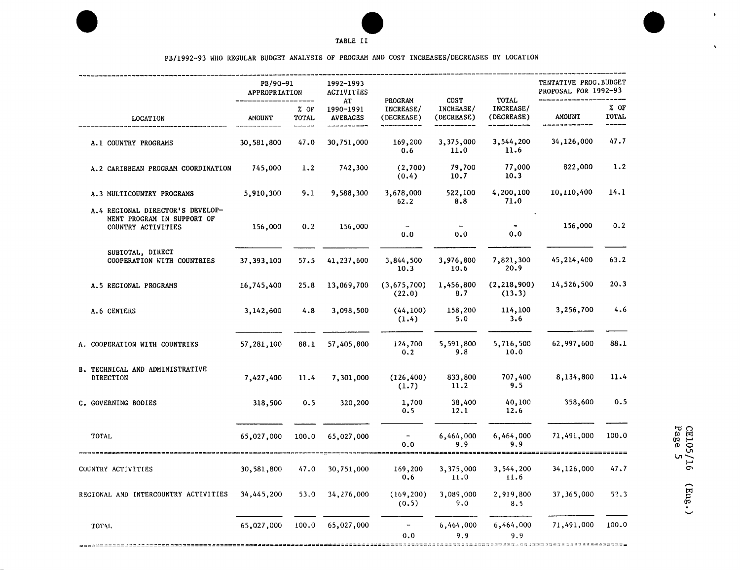



 $\bullet$ 

 $\rightarrow$ 

PB**/**1992-93 WHO REGULAR BUDGET ANALYSIS OF PROGRAM AND COST INCREASES**/**DECREASES BY LOCATION

|                                                                                      | PB/90-91<br>APPROPRIATION                       |                 | 1992-1993<br><b>ACTIVITIES</b>     |                                    |                                 |                                         | TENTATIVE PROG. BUDGET<br>PROPOSAL FOR 1992-93 |                        |
|--------------------------------------------------------------------------------------|-------------------------------------------------|-----------------|------------------------------------|------------------------------------|---------------------------------|-----------------------------------------|------------------------------------------------|------------------------|
| <b>LOCATION</b>                                                                      | <b>AMOUNT</b>                                   | $%$ OF<br>TOTAL | AT<br>1990-1991<br><b>AVERAGES</b> | PROGRAM<br>INCREASE/<br>(DECREASE) | COST<br>INCREASE/<br>(DECREASE) | <b>TOTAL</b><br>INCREASE/<br>(DECREASE) | <b>AMOUNT</b>                                  | $%$ OF<br><b>TOTAL</b> |
| A.1 COUNTRY PROGRAMS                                                                 | 30,581,800                                      | 47.0            | 30,751,000                         | 169,200<br>0.6                     | 3,375,000<br>11.0               | 3,544,200<br>11.6                       | 34,126,000                                     | 47.7                   |
| A.2 CARIBBEAN PROGRAM COORDINATION                                                   | 745,000                                         | 1.2             | 742,300                            | (2,700)<br>(0.4)                   | 79,700<br>10.7                  | 77,000<br>10.3                          | 822,000                                        | 1.2                    |
| A.3 MULTICOUNTRY PROGRAMS                                                            | 5,910,300                                       | 9.1             | 9,588,300                          | 3,678,000<br>62.2                  | 522,100<br>8.8                  | 4,200,100<br>71.0                       | 10,110,400                                     | 14.1                   |
| A.4 REGIONAL DIRECTOR'S DEVELOP-<br>MENT PROGRAM IN SUPPORT OF<br>COUNTRY ACTIVITIES | 156,000                                         | 0.2             | 156,000                            | 0.0                                | 0.0                             | 0.0                                     | 156,000                                        | 0.2                    |
| SUBTOTAL, DIRECT<br>COOPERATION WITH COUNTRIES                                       | 37,393,100                                      | 57.5            | 41,237,600                         | 3,844,500<br>10.3                  | 3,976,800<br>10.6               | 7,821,300<br>20.9                       | 45,214,400                                     | 63.2                   |
| A.5 REGIONAL PROGRAMS                                                                | 16,745,400                                      | 25.8            | 13,069,700                         | (3,675,700)<br>(22.0)              | 1,456,800<br>8.7                | (2, 218, 900)<br>(13.3)                 | 14,526,500                                     | 20.3                   |
| A.6 CENTERS                                                                          | 3,142,600                                       | 4.8             | 3,098,500                          | (44, 100)<br>(1.4)                 | 158,200<br>5.0                  | 114,100<br>3.6                          | 3,256,700                                      | 4.6                    |
| A. COOPERATION WITH COUNTRIES                                                        | 57,281,100                                      | 88.1            | 57,405,800                         | 124,700<br>0.2                     | 5,591,800<br>9.8                | 5,716,500<br>10.0                       | 62,997,600                                     | 88.1                   |
| B. TECHNICAL AND ADMINISTRATIVE<br><b>DIRECTION</b>                                  | 7,427,400                                       | 11.4            | 7,301,000                          | (126, 400)<br>(1.7)                | 833,800<br>11.2                 | 707,400<br>9.5                          | 8,134,800                                      | 11.4                   |
| C. GOVERNING BODIES                                                                  | 318,500                                         | 0.5             | 320,200                            | 1,700<br>0.5                       | 38,400<br>12.1                  | 40,100<br>12.6                          | 358,600                                        | 0.5                    |
| TOTAL<br>,,,,,,,,,,,,,,,,,,,,,,,,,,,,,,,,,,                                          | 65,027,000                                      | 100.0           | 65,027,000                         | 0.0                                | 6,464,000<br>9.9                | 6,464,000<br>9.9                        | 71,491,000                                     | 100.0                  |
| COUNTRY ACTIVITIES                                                                   | 30,581,800                                      | 47.0            | 30,751,000                         | 169,200<br>0.6                     | 3,375,000<br>11.0               | 3,544,200<br>11.6                       | 34,126,000                                     | 47.7                   |
| REGIONAL AND INTERCOUNTRY ACTIVITIES                                                 | 34,445,200                                      | 53.0            | 34,276,000                         | (169, 200)<br>(0.5)                | 3,089,000<br>9.0                | 2,919,800<br>8.5                        | 37, 365, 000                                   | 52.3                   |
| TOTAL                                                                                | 65,027,000<br>,________________________________ | 100.0           | 65,027,000                         | $\overline{\phantom{a}}$<br>0.0    | 6,464,000<br>9.9                | 6,464,000<br>9.9                        | 71,491,000                                     | 100.0                  |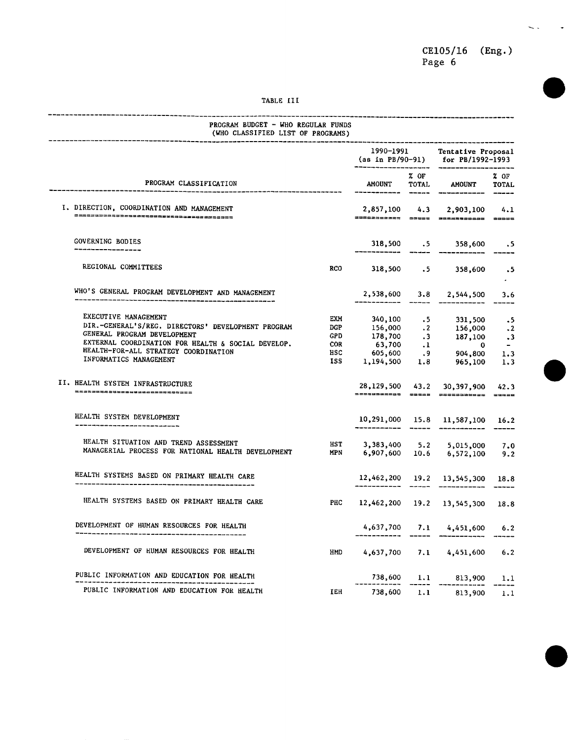CE105**/**16 (Eng.) Page

 $\sim$  .

 $\langle \rangle$ 

#### TABLE III

| PROGRAM CLASSIFICATION |                                                                                                                                                                                                                                   |                                                                     |                                 | 1990-1991<br>__________                       |                                                                                                                                                                                                  | Tentative Proposal<br>(as in PB/90-91) for PB/1992-1993 |  |
|------------------------|-----------------------------------------------------------------------------------------------------------------------------------------------------------------------------------------------------------------------------------|---------------------------------------------------------------------|---------------------------------|-----------------------------------------------|--------------------------------------------------------------------------------------------------------------------------------------------------------------------------------------------------|---------------------------------------------------------|--|
|                        |                                                                                                                                                                                                                                   |                                                                     |                                 | % OF<br>AMOUNT<br><b>TOTAL</b><br>$- - - - -$ | <b>AMOUNT</b>                                                                                                                                                                                    | 20F<br><b>TOTAL</b>                                     |  |
|                        | I. DIRECTION, COORDINATION AND MANAGEMENT                                                                                                                                                                                         |                                                                     | 2,857,100                       | 4.3                                           | 2,903,100<br>27822022224 20020 20030333333 30000                                                                                                                                                 | 4.1                                                     |  |
|                        | <b>GOVERNING BODIES</b>                                                                                                                                                                                                           |                                                                     | 318,500 .5                      |                                               | 358,600                                                                                                                                                                                          | - 5                                                     |  |
|                        | REGIONAL COMMITTEES                                                                                                                                                                                                               | <b>RCO</b>                                                          | 318,500                         |                                               | $.5 \qquad 358,600$                                                                                                                                                                              | ۰5                                                      |  |
|                        | WHO'S GENERAL PROGRAM DEVELOPMENT AND MANAGEMENT                                                                                                                                                                                  |                                                                     | 2,538,600                       | 3.8                                           | 2,544,500                                                                                                                                                                                        | 3.6                                                     |  |
|                        | EXECUTIVE MANAGEMENT<br>DIR.-GENERAL'S/REG. DIRECTORS' DEVELOPMENT PROGRAM<br>GENERAL PROGRAM DEVELOPMENT<br>EXTERNAL COORDINATION FOR HEALTH & SOCIAL DEVELOP.<br>HEALTH-FOR-ALL STRATEGY COORDINATION<br>INFORMATICS MANAGEMENT | <b>EXM</b><br><b>DGP</b><br><b>GPD</b><br><b>COR</b><br>HSC<br>ISS. | 1,194,500                       |                                               | $\begin{array}{cccc} 340, 100 & .5 & 331, 500 \\ 156, 000 & .2 & 156, 000 \\ 178, 700 & .3 & 187, 100 \\ 63, 700 & .1 & 0 \\ 605, 600 & .9 & 904, 800 \\ .194, 500 & 1.8 & 965, 100 \end{array}$ | ۰5<br>$\frac{.2}{.3}$<br>$\cdot$ .3<br>1.3              |  |
|                        | II. HEALTH SYSTEM INFRASTRUCTURE<br>=============================                                                                                                                                                                 |                                                                     | 28,129,500<br>===========       | $= 1.1$                                       | 43.2 30, 397, 900<br>-----------                                                                                                                                                                 | 1.3<br>42.3<br>$= 2222$                                 |  |
|                        | HEALTH SYSTEM DEVELOPMENT                                                                                                                                                                                                         |                                                                     | 10,291,000                      |                                               | 15.8 11,587,100                                                                                                                                                                                  | 16.2                                                    |  |
|                        | HEALTH SITUATION AND TREND ASSESSMENT<br>MANAGERIAL PROCESS FOR NATIONAL HEALTH DEVELOPMENT                                                                                                                                       | <b>HST</b><br><b>MPN</b>                                            | 3,383,400 5.2<br>6,907,600 10.6 |                                               | 5,015,000<br>6,572,100                                                                                                                                                                           | 7.0<br>9.2                                              |  |
|                        | HEALTH SYSTEMS BASED ON PRIMARY HEALTH CARE                                                                                                                                                                                       |                                                                     |                                 |                                               | 12,462,200 19.2 13,545,300<br>_______________________                                                                                                                                            | 18.8                                                    |  |
|                        | HEALTH SYSTEMS BASED ON PRIMARY HEALTH CARE                                                                                                                                                                                       | PHC                                                                 |                                 |                                               | 12,462,200 19.2 13,545,300                                                                                                                                                                       | 18.8                                                    |  |
|                        | DEVELOPMENT OF HUMAN RESOURCES FOR HEALTH                                                                                                                                                                                         |                                                                     | $4,637,700$ 7.1                 |                                               | 4,451,600                                                                                                                                                                                        | 6.2                                                     |  |
|                        | DEVELOPMENT OF HUMAN RESOURCES FOR HEALTH                                                                                                                                                                                         | <b>HMD</b>                                                          | 4,637,700                       |                                               | $7.1$ 4,451,600                                                                                                                                                                                  | 6.2                                                     |  |
|                        | PUBLIC INFORMATION AND EDUCATION FOR HEALTH                                                                                                                                                                                       |                                                                     |                                 |                                               | 738,600 1.1 813,900                                                                                                                                                                              | 1.1                                                     |  |
|                        | PUBLIC INFORMATION AND EDUCATION FOR HEALTH                                                                                                                                                                                       | <b>TEH</b>                                                          | 738,600 1.1                     |                                               | 813,900                                                                                                                                                                                          | 1.1                                                     |  |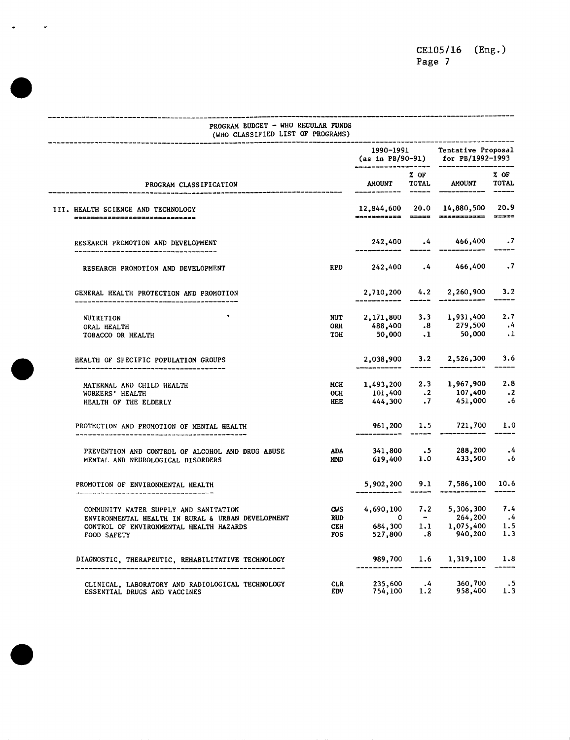## ---------------------------------PROGRAM BUDGET **-** WHO REGULAR FUNDS (WHO CLASSIFIED LIST OF PROGRAMS) ............................................................................................................... 1990-1991 Tentative Propos**a**l (as in PB**/**90-91) for PB**/**1992-1993 .................................... % OF % OF % OF TOTAL AMOUNT TOTAL PROGRAM CLASSIFICATION **AMOUNT** TOTAL AMOUNT TOTAL TOTAL TOTAL TOTAL TOTAL TOTAL TOTAL TOTAL TOTAL TOTAL TOTAL TOTAL TOTAL TOTAL TOTAL TOTAL TOTAL TOTAL TOTAL TOTAL TOTAL TOTAL TOTAL TOTAL TOTAL TOTAL TOTAL TOTAL TOTAL TOT ...................................................................... III. HEALTH SCIENCE AND TECHNOLOGY 12,844,600 20.0 14,880,500 20.9 RESEARCH PROMOTION AND DEVELOPMENT **2**42,400 .4 466,400 .7 .................................. **--**............................... RESEARCH PROMOTION AND DEVELOPMENT RPD 242,400 .4 466,400 .7 GENERAL HEALTH PROTECTION AND PROMOTION <br>
2,710,200 4.2 2,260,900 3.2 ....................................... **--**............................... TOBACCORHEALTH TOH 50,000 .1 50,000 .1 NUTRITION \_ NUT 2,171,800 3.3 1,931,400 2.7 ORALHEALTH ORH 488,400 .8 279,500 .4 HEALTH OF SPECIFIC POPULATION GROUPS 2,038,900 3.2 2,526,300 3.6 .................................................................... MATERNAL AND CHILD HEALTH MCH 1,493,200 2.3 1,967,900 2.8<br>WORKERS' HEALTH MORKERS' HEALTH MCH 101,400 .2 107,400 .2 WORKERS' HEALTH **OCH** 101,400 .2 107,400 .2<br>
HEALTH OF THE ELDERLY **HERE** 444,300 .7 451,000 .6 HEALTH OF THE ELDERLY PROTECTION AND PROMOTION OF MENTAL HEALTH 961,200 1.5 721,700 1.0 ......................................................................... PREVENTION AND CONTROL OF ALCOHOL AND DRUG ABUSE <br>1.0 1.0 ABNTAL AND NEUROLOGICAL DISORDERS ADD DRUG ABUSE AND 619,400 1.0 433,500 .6 MENTAL AND NEUROLOGICAL DISORDERS PROMOTION OF ENVIRONMENTAL HEALTH 5,902,200 9.1 7,586,100 10.6 ................................................................. COMMUNITY WATER SUPPLY AND SANITATION CWS  $4,690,100$  7.2 5,306,300 7.4<br>
ENVIRONMENTAL HEALTH IN RURAL & URBAN DEVELOPMENT RUD 0 - 264,200 .4 ENVIRONMENTAL HEALTH IN RURAL & URBAN DEVELOPMENT RUD  $0 - 264,200$ .<br>
CONTROL OF ENVIRONMENTAL HEALTH HAZARDS CEH 684,300 1.1 1,075,400 1.5 CONTROL OF ENVIRONMENTALHEALTH HAZARDS CEH 684,300 1.1 1,075,400 1.5  $527,800$  .8 DIAGNOSTIC, THERA**P**EUTIC, REHABILITATIVE TECHNOLOGY 989,700 1.6 1,319,100 1.8 ..................................................................................

CLINICAL, LABORATORY AND RADIOLOGICALTECHNOLOGY CLR 235,600 .4 360,700 .5 ESSENTIAL DRUGS AND VACCINES